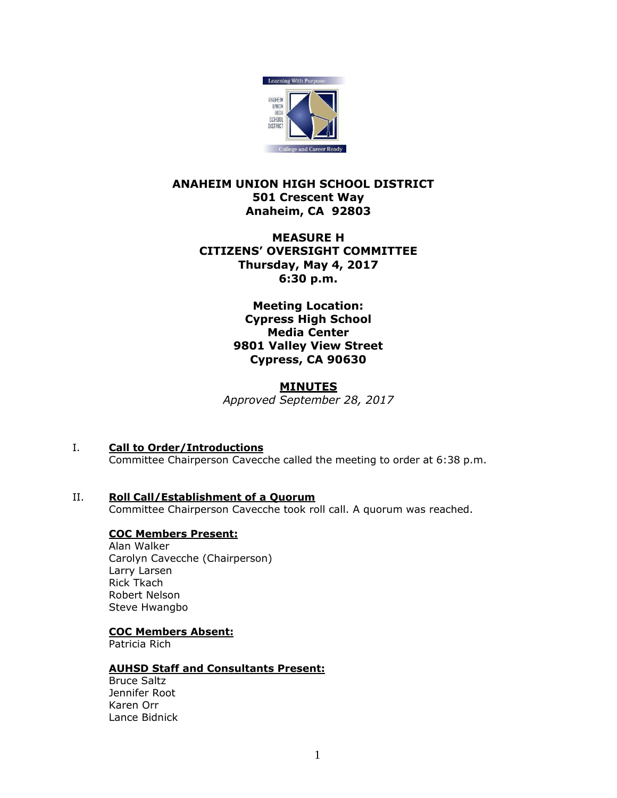

# **ANAHEIM UNION HIGH SCHOOL DISTRICT 501 Crescent Way Anaheim, CA 92803**

# **MEASURE H CITIZENS' OVERSIGHT COMMITTEE Thursday, May 4, 2017 6:30 p.m.**

**Meeting Location: Cypress High School Media Center 9801 Valley View Street Cypress, CA 90630**

### **MINUTES**

*Approved September 28, 2017*

- I. **Call to Order/Introductions** Committee Chairperson Cavecche called the meeting to order at 6:38 p.m.
- II. **Roll Call/Establishment of a Quorum** Committee Chairperson Cavecche took roll call. A quorum was reached.

# **COC Members Present:**

Alan Walker Carolyn Cavecche (Chairperson) Larry Larsen Rick Tkach Robert Nelson Steve Hwangbo

## **COC Members Absent:**

Patricia Rich

## **AUHSD Staff and Consultants Present:**

Bruce Saltz Jennifer Root Karen Orr Lance Bidnick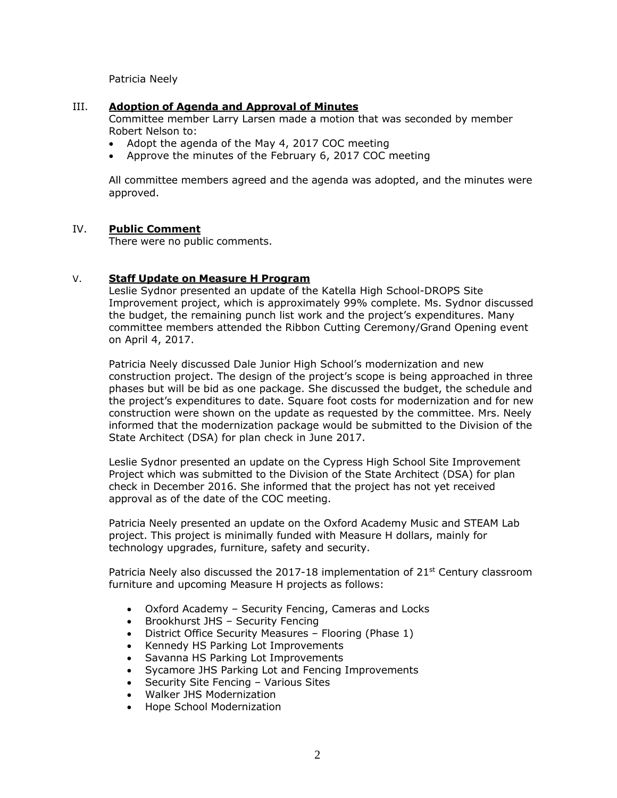Patricia Neely

#### III. **Adoption of Agenda and Approval of Minutes**

Committee member Larry Larsen made a motion that was seconded by member Robert Nelson to:

- Adopt the agenda of the May 4, 2017 COC meeting
- Approve the minutes of the February 6, 2017 COC meeting

All committee members agreed and the agenda was adopted, and the minutes were approved.

#### IV. **Public Comment**

There were no public comments.

### V. **Staff Update on Measure H Program**

Leslie Sydnor presented an update of the Katella High School-DROPS Site Improvement project, which is approximately 99% complete. Ms. Sydnor discussed the budget, the remaining punch list work and the project's expenditures. Many committee members attended the Ribbon Cutting Ceremony/Grand Opening event on April 4, 2017.

Patricia Neely discussed Dale Junior High School's modernization and new construction project. The design of the project's scope is being approached in three phases but will be bid as one package. She discussed the budget, the schedule and the project's expenditures to date. Square foot costs for modernization and for new construction were shown on the update as requested by the committee. Mrs. Neely informed that the modernization package would be submitted to the Division of the State Architect (DSA) for plan check in June 2017.

Leslie Sydnor presented an update on the Cypress High School Site Improvement Project which was submitted to the Division of the State Architect (DSA) for plan check in December 2016. She informed that the project has not yet received approval as of the date of the COC meeting.

Patricia Neely presented an update on the Oxford Academy Music and STEAM Lab project. This project is minimally funded with Measure H dollars, mainly for technology upgrades, furniture, safety and security.

Patricia Neely also discussed the 2017-18 implementation of  $21^{st}$  Century classroom furniture and upcoming Measure H projects as follows:

- Oxford Academy Security Fencing, Cameras and Locks<br>• Brookhurst JHS Security Fencing
- Brookhurst JHS Security Fencing
- District Office Security Measures Flooring (Phase 1)
- Kennedy HS Parking Lot Improvements
- Savanna HS Parking Lot Improvements
- Sycamore JHS Parking Lot and Fencing Improvements
- Security Site Fencing Various Sites
- Walker JHS Modernization
- Hope School Modernization